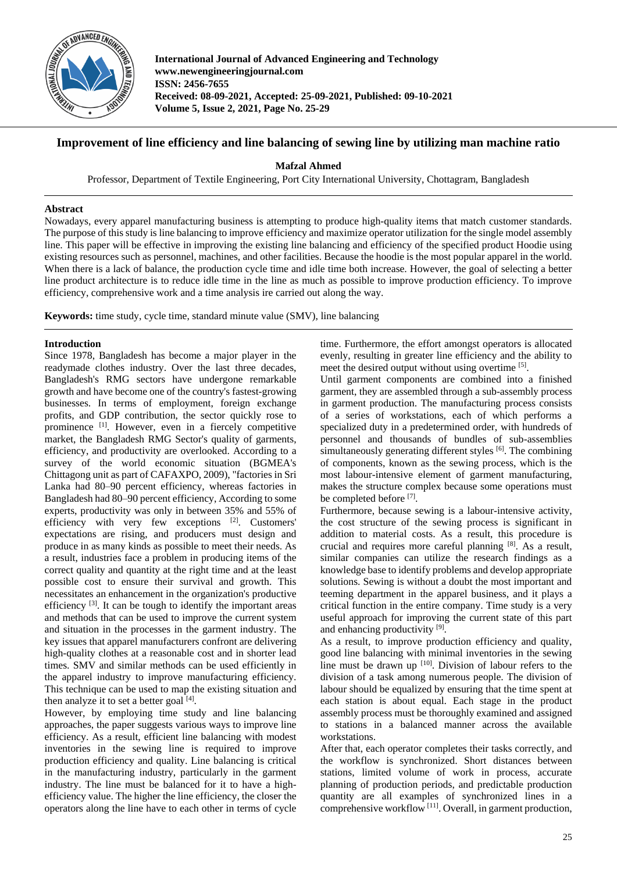

**International Journal of Advanced Engineering and Technology www.newengineeringjournal.com ISSN: 2456-7655 Received: 08-09-2021, Accepted: 25-09-2021, Published: 09-10-2021 Volume 5, Issue 2, 2021, Page No. 25-29**

# **Improvement of line efficiency and line balancing of sewing line by utilizing man machine ratio**

**Mafzal Ahmed**

Professor, Department of Textile Engineering, Port City International University, Chottagram, Bangladesh

## **Abstract**

Nowadays, every apparel manufacturing business is attempting to produce high-quality items that match customer standards. The purpose of this study is line balancing to improve efficiency and maximize operator utilization for the single model assembly line. This paper will be effective in improving the existing line balancing and efficiency of the specified product Hoodie using existing resources such as personnel, machines, and other facilities. Because the hoodie is the most popular apparel in the world. When there is a lack of balance, the production cycle time and idle time both increase. However, the goal of selecting a better line product architecture is to reduce idle time in the line as much as possible to improve production efficiency. To improve efficiency, comprehensive work and a time analysis ire carried out along the way.

**Keywords:** time study, cycle time, standard minute value (SMV), line balancing

## **Introduction**

Since 1978, Bangladesh has become a major player in the readymade clothes industry. Over the last three decades, Bangladesh's RMG sectors have undergone remarkable growth and have become one of the country's fastest-growing businesses. In terms of employment, foreign exchange profits, and GDP contribution, the sector quickly rose to prominence [1]. However, even in a fiercely competitive market, the Bangladesh RMG Sector's quality of garments, efficiency, and productivity are overlooked. According to a survey of the world economic situation (BGMEA's Chittagong unit as part of CAFAXPO, 2009), "factories in Sri Lanka had 80–90 percent efficiency, whereas factories in Bangladesh had 80–90 percent efficiency, According to some experts, productivity was only in between 35% and 55% of efficiency with very few exceptions [2]. Customers' expectations are rising, and producers must design and produce in as many kinds as possible to meet their needs. As a result, industries face a problem in producing items of the correct quality and quantity at the right time and at the least possible cost to ensure their survival and growth. This necessitates an enhancement in the organization's productive efficiency <sup>[3]</sup>. It can be tough to identify the important areas and methods that can be used to improve the current system and situation in the processes in the garment industry. The key issues that apparel manufacturers confront are delivering high-quality clothes at a reasonable cost and in shorter lead times. SMV and similar methods can be used efficiently in the apparel industry to improve manufacturing efficiency. This technique can be used to map the existing situation and then analyze it to set a better goal  $[4]$ .

However, by employing time study and line balancing approaches, the paper suggests various ways to improve line efficiency. As a result, efficient line balancing with modest inventories in the sewing line is required to improve production efficiency and quality. Line balancing is critical in the manufacturing industry, particularly in the garment industry. The line must be balanced for it to have a highefficiency value. The higher the line efficiency, the closer the operators along the line have to each other in terms of cycle time. Furthermore, the effort amongst operators is allocated evenly, resulting in greater line efficiency and the ability to meet the desired output without using overtime [5].

Until garment components are combined into a finished garment, they are assembled through a sub-assembly process in garment production. The manufacturing process consists of a series of workstations, each of which performs a specialized duty in a predetermined order, with hundreds of personnel and thousands of bundles of sub-assemblies simultaneously generating different styles [6]. The combining of components, known as the sewing process, which is the most labour-intensive element of garment manufacturing, makes the structure complex because some operations must be completed before [7].

Furthermore, because sewing is a labour-intensive activity, the cost structure of the sewing process is significant in addition to material costs. As a result, this procedure is crucial and requires more careful planning [8]. As a result, similar companies can utilize the research findings as a knowledge base to identify problems and develop appropriate solutions. Sewing is without a doubt the most important and teeming department in the apparel business, and it plays a critical function in the entire company. Time study is a very useful approach for improving the current state of this part and enhancing productivity [9].

As a result, to improve production efficiency and quality, good line balancing with minimal inventories in the sewing line must be drawn up  $[10]$ . Division of labour refers to the division of a task among numerous people. The division of labour should be equalized by ensuring that the time spent at each station is about equal. Each stage in the product assembly process must be thoroughly examined and assigned to stations in a balanced manner across the available workstations.

After that, each operator completes their tasks correctly, and the workflow is synchronized. Short distances between stations, limited volume of work in process, accurate planning of production periods, and predictable production quantity are all examples of synchronized lines in a comprehensive workflow [11]. Overall, in garment production,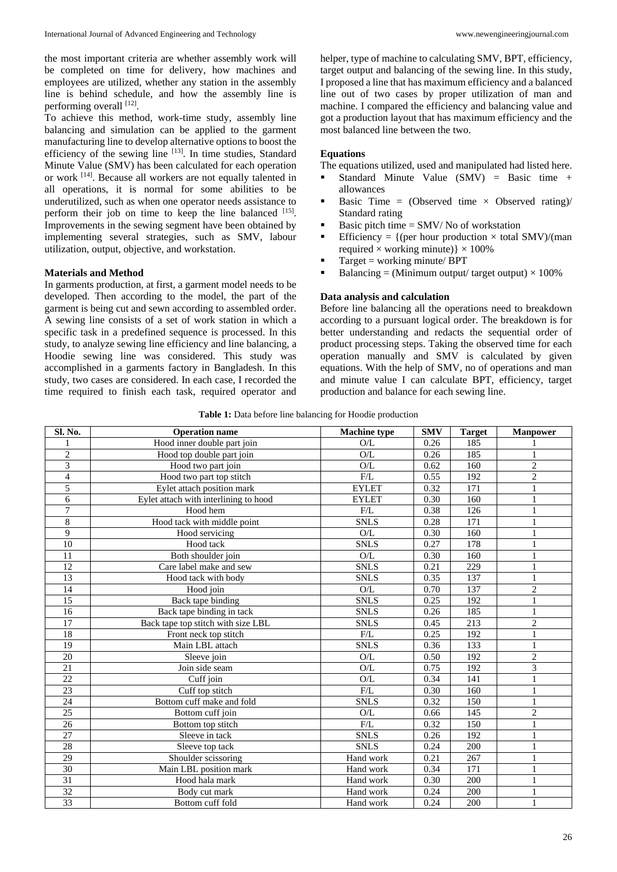the most important criteria are whether assembly work will be completed on time for delivery, how machines and employees are utilized, whether any station in the assembly line is behind schedule, and how the assembly line is performing overall [12].

To achieve this method, work-time study, assembly line balancing and simulation can be applied to the garment manufacturing line to develop alternative options to boost the efficiency of the sewing line  $[13]$ . In time studies, Standard Minute Value (SMV) has been calculated for each operation or work [14]. Because all workers are not equally talented in all operations, it is normal for some abilities to be underutilized, such as when one operator needs assistance to perform their job on time to keep the line balanced [15]. Improvements in the sewing segment have been obtained by implementing several strategies, such as SMV, labour utilization, output, objective, and workstation.

#### **Materials and Method**

In garments production, at first, a garment model needs to be developed. Then according to the model, the part of the garment is being cut and sewn according to assembled order. A sewing line consists of a set of work station in which a specific task in a predefined sequence is processed. In this study, to analyze sewing line efficiency and line balancing, a Hoodie sewing line was considered. This study was accomplished in a garments factory in Bangladesh. In this study, two cases are considered. In each case, I recorded the time required to finish each task, required operator and helper, type of machine to calculating SMV, BPT, efficiency, target output and balancing of the sewing line. In this study, I proposed a line that has maximum efficiency and a balanced line out of two cases by proper utilization of man and machine. I compared the efficiency and balancing value and got a production layout that has maximum efficiency and the most balanced line between the two.

#### **Equations**

The equations utilized, used and manipulated had listed here.

- Standard Minute Value (SMV) = Basic time + allowances
- Basic Time = (Observed time  $\times$  Observed rating)/ Standard rating
- Basic pitch time  $=$  SMV/No of workstation
- Efficiency =  $\{$  (per hour production  $\times$  total SMV)/(man required  $\times$  working minute)}  $\times$  100%
- Target = working minute/ BPT
- Balancing = (Minimum output/ target output)  $\times$  100%

#### **Data analysis and calculation**

Before line balancing all the operations need to breakdown according to a pursuant logical order. The breakdown is for better understanding and redacts the sequential order of product processing steps. Taking the observed time for each operation manually and SMV is calculated by given equations. With the help of SMV, no of operations and man and minute value I can calculate BPT, efficiency, target production and balance for each sewing line.

**Table 1:** Data before line balancing for Hoodie production

| Sl. No.         | <b>Operation name</b>                 | <b>Machine</b> type | <b>SMV</b> | <b>Target</b> | <b>Manpower</b> |
|-----------------|---------------------------------------|---------------------|------------|---------------|-----------------|
|                 | Hood inner double part join           | O/L                 | 0.26       | 185           |                 |
| $\sqrt{2}$      | Hood top double part join             | O/L                 | 0.26       | 185           |                 |
| 3               | Hood two part join                    | O/L                 | 0.62       | 160           | $\overline{c}$  |
| $\overline{4}$  | Hood two part top stitch              | F/L                 | 0.55       | 192           | $\overline{c}$  |
| 5               | Eylet attach position mark            | <b>EYLET</b>        | 0.32       | 171           | $\mathbf{1}$    |
| 6               | Eylet attach with interlining to hood | <b>EYLET</b>        | 0.30       | 160           | 1               |
| 7               | Hood hem                              | F/L                 | 0.38       | 126           | 1               |
| 8               | Hood tack with middle point           | <b>SNLS</b>         | 0.28       | 171           | $\mathbf{1}$    |
| 9               | Hood servicing                        | $\mathrm{O/L}$      | 0.30       | 160           | 1               |
| $\overline{10}$ | Hood tack                             | <b>SNLS</b>         | 0.27       | 178           | $\mathbf{1}$    |
| 11              | Both shoulder join                    | O/L                 | 0.30       | 160           | 1               |
| 12              | Care label make and sew               | <b>SNLS</b>         | 0.21       | 229           | 1               |
| 13              | Hood tack with body                   | <b>SNLS</b>         | 0.35       | 137           | $\mathbf{1}$    |
| 14              | Hood join                             | $\mathrm{O/L}$      | 0.70       | 137           | $\overline{2}$  |
| $\overline{15}$ | Back tape binding                     | <b>SNLS</b>         | 0.25       | 192           | $\mathbf{1}$    |
| 16              | Back tape binding in tack             | <b>SNLS</b>         | 0.26       | 185           | $\mathbf{1}$    |
| 17              | Back tape top stitch with size LBL    | <b>SNLS</b>         | 0.45       | 213           | $\overline{c}$  |
| 18              | Front neck top stitch                 | F/L                 | 0.25       | 192           | $\mathbf{1}$    |
| 19              | Main LBL attach                       | <b>SNLS</b>         | 0.36       | 133           | $\mathbf{1}$    |
| 20              | Sleeve join                           | $\mathrm{O/L}$      | 0.50       | 192           | $\overline{c}$  |
| 21              | Join side seam                        | O/L                 | 0.75       | 192           | $\overline{3}$  |
| 22              | Cuff join                             | O/L                 | 0.34       | 141           | 1               |
| 23              | Cuff top stitch                       | F/L                 | 0.30       | 160           | 1               |
| 24              | Bottom cuff make and fold             | <b>SNLS</b>         | 0.32       | 150           | $\mathbf{1}$    |
| 25              | Bottom cuff join                      | O/L                 | 0.66       | 145           | $\overline{2}$  |
| 26              | Bottom top stitch                     | F/L                 | 0.32       | 150           | $\mathbf{1}$    |
| 27              | Sleeve in tack                        | <b>SNLS</b>         | 0.26       | 192           | 1               |
| 28              | Sleeve top tack                       | <b>SNLS</b>         | 0.24       | 200           | $\mathbf{1}$    |
| 29              | Shoulder scissoring                   | Hand work           | 0.21       | 267           | $\mathbf{1}$    |
| 30              | Main LBL position mark                | Hand work           | 0.34       | 171           | $\mathbf{1}$    |
| 31              | Hood hala mark                        | Hand work           | 0.30       | 200           | $\mathbf{1}$    |
| 32              | Body cut mark                         | Hand work           | 0.24       | 200           | 1               |
| 33              | Bottom cuff fold                      | Hand work           | 0.24       | 200           | $\mathbf{1}$    |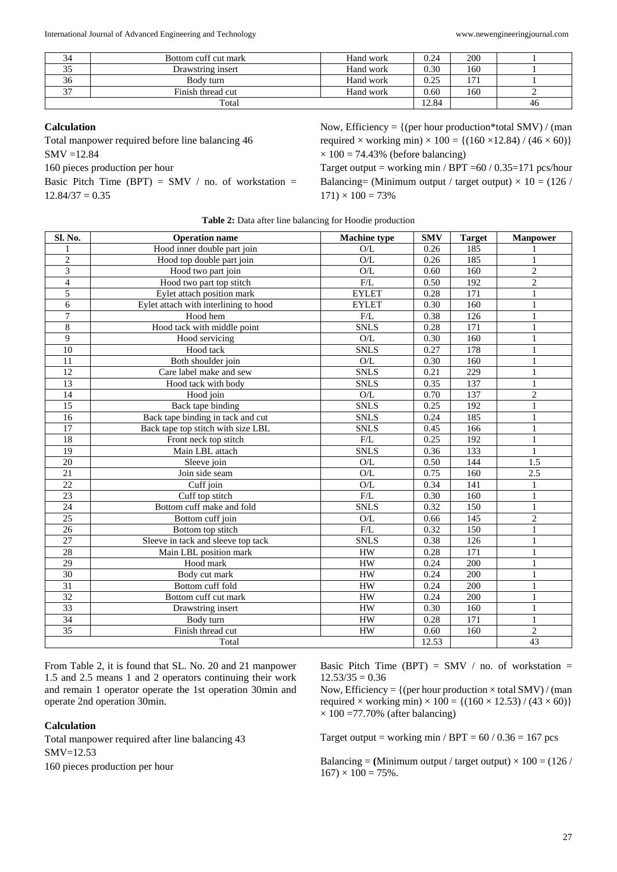|        | Bottom cuff cut mark | Hand work | 0.24 | 200 |    |
|--------|----------------------|-----------|------|-----|----|
|        | Drawstring insert    | Hand work | 0.30 | 160 |    |
| 36     | Body turn            | Hand work | 0.25 |     |    |
| $\sim$ | Finish thread cut    | Hand work | 0.60 | 160 |    |
| Total  |                      |           |      |     | 46 |

#### **Calculation**

Total manpower required before line balancing 46

SMV =12.84

160 pieces production per hour

Basic Pitch Time (BPT) = SMV / no. of workstation =  $12.84/37 = 0.35$ 

Now, Efficiency =  $\{$  (per hour production\*total SMV) / (man required  $\times$  working min)  $\times$  100 = {(160  $\times$ 12.84) / (46  $\times$  60)}  $\times$  100 = 74.43% (before balancing)

Target output = working min / BPT = $60$  / 0.35=171 pcs/hour Balancing= (Minimum output / target output)  $\times$  10 = (126 /  $171 \times 100 = 73\%$ 

| Sl. No.                 | <b>Operation name</b>                 | <b>Machine type</b> | <b>SMV</b> | <b>Target</b> | <b>Manpower</b> |
|-------------------------|---------------------------------------|---------------------|------------|---------------|-----------------|
|                         | Hood inner double part join           | O/L                 | 0.26       | 185           |                 |
| $\overline{c}$          | Hood top double part join             | O/L                 | 0.26       | 185           | 1               |
| 3                       | Hood two part join                    | O/L                 | 0.60       | 160           | $\overline{2}$  |
| $\overline{\mathbf{4}}$ | Hood two part top stitch              | F/L                 | 0.50       | 192           | $\overline{c}$  |
| 5                       | Eylet attach position mark            | <b>EYLET</b>        | 0.28       | 171           | $\mathbf{1}$    |
| 6                       | Eylet attach with interlining to hood | <b>EYLET</b>        | 0.30       | 160           | $\mathbf{1}$    |
| $\overline{7}$          | Hood hem                              | ${\rm F/L}$         | 0.38       | 126           | $\mathbf{1}$    |
| 8                       | Hood tack with middle point           | <b>SNLS</b>         | 0.28       | 171           | $\mathbf{1}$    |
| 9                       | Hood servicing                        | O/L                 | 0.30       | 160           | $\mathbf{1}$    |
| 10                      | Hood tack                             | <b>SNLS</b>         | 0.27       | 178           | $\mathbf{1}$    |
| 11                      | Both shoulder join                    | O/L                 | 0.30       | 160           | 1               |
| 12                      | Care label make and sew               | <b>SNLS</b>         | 0.21       | 229           | $\mathbf{1}$    |
| 13                      | Hood tack with body                   | <b>SNLS</b>         | 0.35       | 137           | $\mathbf{1}$    |
| 14                      | Hood join                             | $\mathrm{O/L}$      | 0.70       | 137           | $\mathbf{2}$    |
| 15                      | Back tape binding                     | <b>SNLS</b>         | 0.25       | 192           | $\mathbf{1}$    |
| 16                      | Back tape binding in tack and cut     | <b>SNLS</b>         | 0.24       | 185           | 1               |
| 17                      | Back tape top stitch with size LBL    | <b>SNLS</b>         | 0.45       | 166           | 1               |
| 18                      | Front neck top stitch                 | F/L                 | 0.25       | 192           | 1               |
| 19                      | Main LBL attach                       | <b>SNLS</b>         | 0.36       | 133           | $\mathbf{1}$    |
| 20                      | Sleeve join                           | $\mathrm{O/L}$      | 0.50       | 144           | 1.5             |
| 21                      | Join side seam                        | $\mathrm{O/L}$      | 0.75       | 160           | 2.5             |
| 22                      | Cuff join                             | $\mathrm{O/L}$      | 0.34       | 141           | 1               |
| 23                      | Cuff top stitch                       | F/L                 | 0.30       | 160           | 1               |
| 24                      | Bottom cuff make and fold             | <b>SNLS</b>         | 0.32       | 150           | 1               |
| 25                      | Bottom cuff join                      | O/L                 | 0.66       | 145           | $\overline{c}$  |
| 26                      | Bottom top stitch                     | F/L                 | 0.32       | 150           | $\mathbf{1}$    |
| 27                      | Sleeve in tack and sleeve top tack    | <b>SNLS</b>         | 0.38       | 126           | $\mathbf{1}$    |
| 28                      | Main LBL position mark                | HW                  | 0.28       | 171           | $\mathbf{1}$    |
| 29                      | Hood mark                             | <b>HW</b>           | 0.24       | 200           | $\mathbf{1}$    |
| 30                      | Body cut mark                         | <b>HW</b>           | 0.24       | 200           | $\mathbf{1}$    |
| $\overline{31}$         | Bottom cuff fold                      | ${\rm HW}$          | 0.24       | 200           | 1               |
| 32                      | Bottom cuff cut mark                  | <b>HW</b>           | 0.24       | 200           | $\mathbf{1}$    |
| $\overline{33}$         | Drawstring insert                     | <b>HW</b>           | 0.30       | 160           | $\mathbf{1}$    |
| 34                      | Body turn                             | <b>HW</b>           | 0.28       | 171           | $\mathbf{1}$    |
| $\overline{35}$         | Finish thread cut                     | <b>HW</b>           | 0.60       | 160           | $\overline{c}$  |
|                         | Total                                 | 12.53               |            | 43            |                 |

**Table 2:** Data after line balancing for Hoodie production

From Table 2, it is found that SL. No. 20 and 21 manpower 1.5 and 2.5 means 1 and 2 operators continuing their work and remain 1 operator operate the 1st operation 30min and operate 2nd operation 30min.

#### **Calculation**

Total manpower required after line balancing 43 SMV=12.53 160 pieces production per hour

Basic Pitch Time (BPT) = SMV / no. of workstation =  $12.53/35 = 0.36$ 

Now, Efficiency =  $\{$  (per hour production  $\times$  total SMV) / (man required  $\times$  working min)  $\times$  100 = {(160  $\times$  12.53) / (43  $\times$  60)}  $\times$  100 =77.70% (after balancing)

Target output = working min / BPT =  $60 / 0.36 = 167$  pcs

Balancing =  $(\text{Minimum output } / \text{target output}) \times 100 = (126 /$  $167 \times 100 = 75\%$ .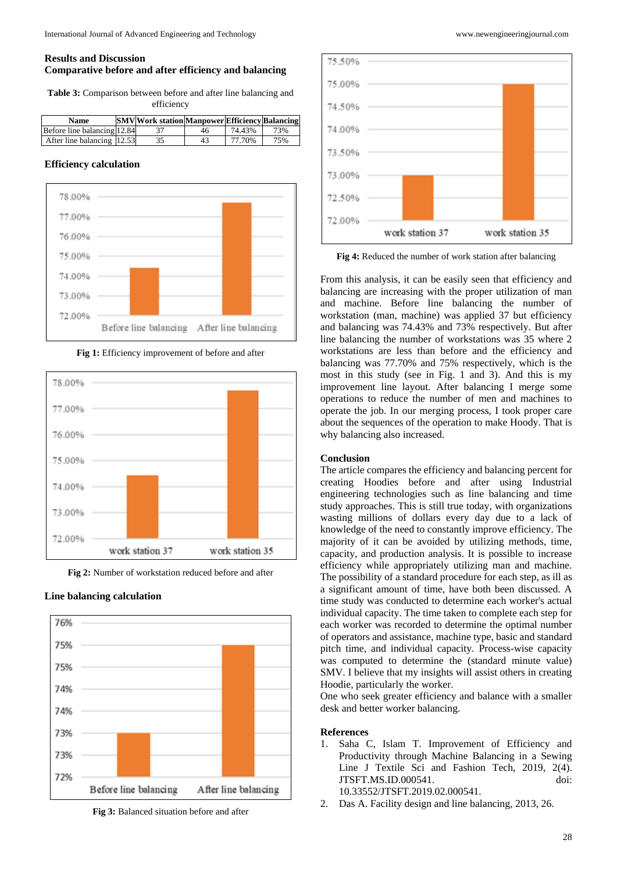## **Results and Discussion Comparative before and after efficiency and balancing**

**Table 3:** Comparison between before and after line balancing and efficiency

| Name                        | <b>SMV</b> Work station Manpower Efficiency Balancing |    |        |     |
|-----------------------------|-------------------------------------------------------|----|--------|-----|
| Before line balancing 12.84 |                                                       | 46 | 74.43% | 73% |
| After line balancing 12.53  |                                                       | 43 | 77.70% | 75% |

#### **Efficiency calculation**



**Fig 1:** Efficiency improvement of before and after



**Fig 2:** Number of workstation reduced before and after

## **Line balancing calculation**



**Fig 3:** Balanced situation before and after



**Fig 4:** Reduced the number of work station after balancing

From this analysis, it can be easily seen that efficiency and balancing are increasing with the proper utilization of man and machine. Before line balancing the number of workstation (man, machine) was applied 37 but efficiency and balancing was 74.43% and 73% respectively. But after line balancing the number of workstations was 35 where 2 workstations are less than before and the efficiency and balancing was 77.70% and 75% respectively, which is the most in this study (see in Fig. 1 and 3). And this is my improvement line layout. After balancing I merge some operations to reduce the number of men and machines to operate the job. In our merging process, I took proper care about the sequences of the operation to make Hoody. That is why balancing also increased.

#### **Conclusion**

The article compares the efficiency and balancing percent for creating Hoodies before and after using Industrial engineering technologies such as line balancing and time study approaches. This is still true today, with organizations wasting millions of dollars every day due to a lack of knowledge of the need to constantly improve efficiency. The majority of it can be avoided by utilizing methods, time, capacity, and production analysis. It is possible to increase efficiency while appropriately utilizing man and machine. The possibility of a standard procedure for each step, as ill as a significant amount of time, have both been discussed. A time study was conducted to determine each worker's actual individual capacity. The time taken to complete each step for each worker was recorded to determine the optimal number of operators and assistance, machine type, basic and standard pitch time, and individual capacity. Process-wise capacity was computed to determine the (standard minute value) SMV. I believe that my insights will assist others in creating Hoodie, particularly the worker.

One who seek greater efficiency and balance with a smaller desk and better worker balancing.

#### **References**

- 1. Saha C, Islam T. Improvement of Efficiency and Productivity through Machine Balancing in a Sewing Line J Textile Sci and Fashion Tech, 2019, 2(4). JTSFT.MS.ID.000541. doi: 10.33552/JTSFT.2019.02.000541.
- 2. Das A. Facility design and line balancing, 2013, 26.